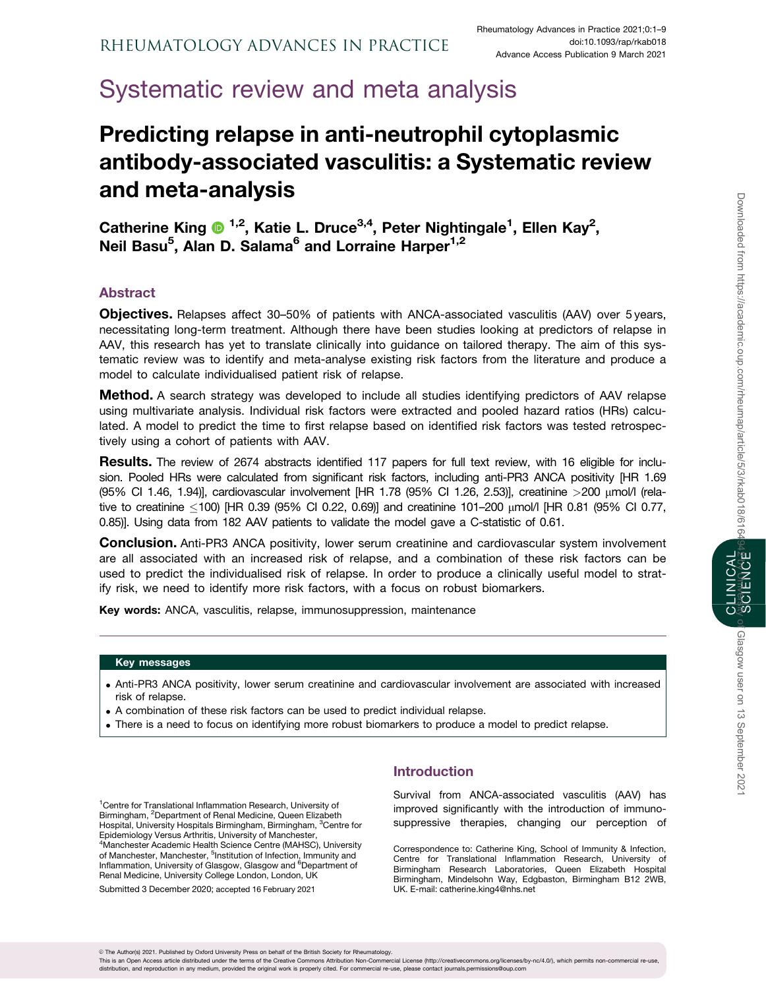# Systematic review and meta analysis

# Predicting relapse in anti-neutrophil cytoplasmic antibody-associated vasculitis: a Systematic review and meta-analysis

Catherine King <sup>1,2</sup>, Katie L. Druce<sup>3,4</sup>, Peter Nightingale<sup>1</sup>, Ellen Kay<sup>2</sup>, Neil Basu<sup>5</sup>, Alan D. Salama<sup>6</sup> and Lorraine Harper<sup>1,2</sup>

# Abstract

Objectives. Relapses affect 30–50% of patients with ANCA-associated vasculitis (AAV) over 5 years, necessitating long-term treatment. Although there have been studies looking at predictors of relapse in AAV, this research has yet to translate clinically into guidance on tailored therapy. The aim of this systematic review was to identify and meta-analyse existing risk factors from the literature and produce a model to calculate individualised patient risk of relapse.

**Method.** A search strategy was developed to include all studies identifying predictors of AAV relapse using multivariate analysis. Individual risk factors were extracted and pooled hazard ratios (HRs) calculated. A model to predict the time to first relapse based on identified risk factors was tested retrospectively using a cohort of patients with AAV.

Results. The review of 2674 abstracts identified 117 papers for full text review, with 16 eligible for inclusion. Pooled HRs were calculated from significant risk factors, including anti-PR3 ANCA positivity [HR 1.69 (95% CI 1.46, 1.94)], cardiovascular involvement [HR 1.78 (95% CI 1.26, 2.53)], creatinine >200 mmol/l (relative to creatinine -100) [HR 0.39 (95% CI 0.22, 0.69)] and creatinine 101–200 mmol/l [HR 0.81 (95% CI 0.77, 0.85)]. Using data from 182 AAV patients to validate the model gave a C-statistic of 0.61.

**Conclusion.** Anti-PR3 ANCA positivity, lower serum creatinine and cardiovascular system involvement are all associated with an increased risk of relapse, and a combination of these risk factors can be used to predict the individualised risk of relapse. In order to produce a clinically useful model to stratify risk, we need to identify more risk factors, with a focus on robust biomarkers.

Key words: ANCA, vasculitis, relapse, immunosuppression, maintenance

## Key messages

- . Anti-PR3 ANCA positivity, lower serum creatinine and cardiovascular involvement are associated with increased risk of relapse.
- . A combination of these risk factors can be used to predict individual relapse.
- . There is a need to focus on identifying more robust biomarkers to produce a model to predict relapse.

<sup>1</sup> Centre for Translational Inflammation Research, University of Birmingham, <sup>2</sup>Department of Renal Medicine, Queen Elizabeth Hospital, University Hospitals Birmingham, Birmingham, <sup>3</sup>Centre for Epidemiology Versus Arthritis, University of Manchester, 4 Manchester Academic Health Science Centre (MAHSC), University of Manchester, Manchester, <sup>5</sup>Institution of Infection, Immunity and Inflammation, University of Glasgow, Glasgow and <sup>6</sup>Department of Renal Medicine, University College London, London, UK

Submitted 3 December 2020; accepted 16 February 2021

# Introduction

Survival from ANCA-associated vasculitis (AAV) has improved significantly with the introduction of immunosuppressive therapies, changing our perception of

Correspondence to: Catherine King, School of Immunity & Infection, Centre for Translational Inflammation Research, University of Birmingham Research Laboratories, Queen Elizabeth Hospital Birmingham, Mindelsohn Way, Edgbaston, Birmingham B12 2WB, UK. E-mail: catherine.king4@nhs.net

This is an Open Access article distributed under the terms of the Creative Commons Attribution Non-Commercial License (http://creativecommons.org/licenses/by-nc/4.0/), which permits non-commercial re-use distribution, and reproduction in any medium, provided the original work is properly cited. For commercial re-use, please contact journals.permissions@oup.com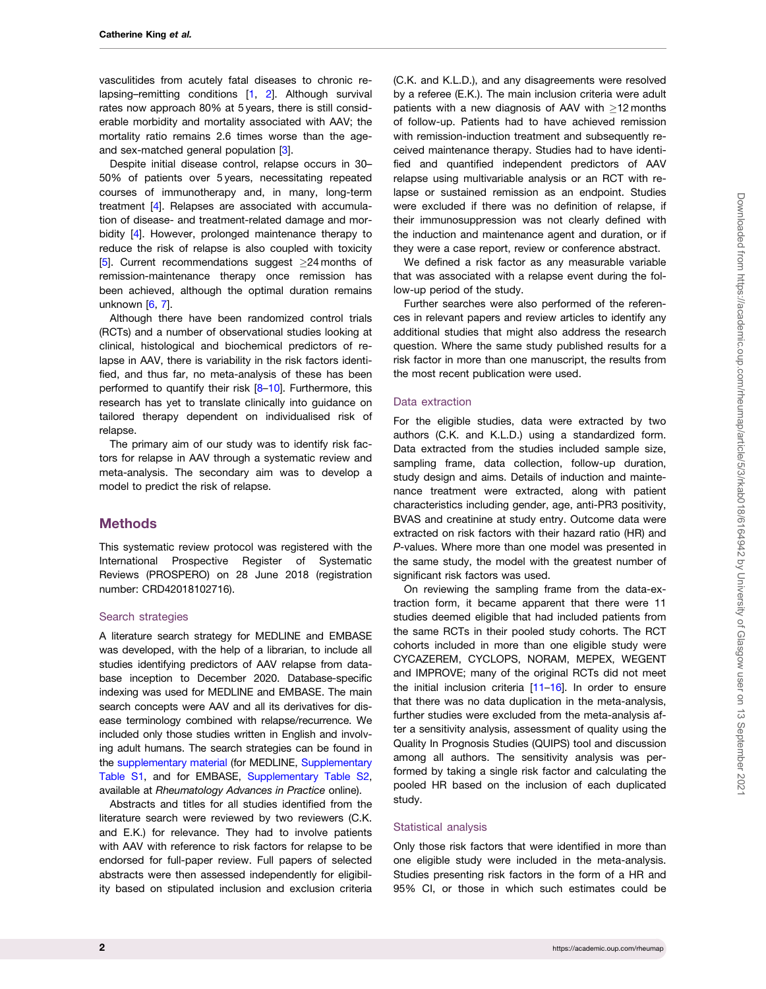<span id="page-1-0"></span>vasculitides from acutely fatal diseases to chronic relapsing–remitting conditions [[1,](#page-7-0) [2](#page-7-0)]. Although survival rates now approach 80% at 5 years, there is still considerable morbidity and mortality associated with AAV; the mortality ratio remains 2.6 times worse than the ageand sex-matched general population [[3](#page-7-0)].

Despite initial disease control, relapse occurs in 30– 50% of patients over 5 years, necessitating repeated courses of immunotherapy and, in many, long-term treatment [\[4](#page-7-0)]. Relapses are associated with accumulation of disease- and treatment-related damage and morbidity [[4](#page-7-0)]. However, prolonged maintenance therapy to reduce the risk of relapse is also coupled with toxicity [[5](#page-7-0)]. Current recommendations suggest  $\geq$ 24 months of remission-maintenance therapy once remission has been achieved, although the optimal duration remains unknown [[6,](#page-7-0) [7\]](#page-7-0).

Although there have been randomized control trials (RCTs) and a number of observational studies looking at clinical, histological and biochemical predictors of relapse in AAV, there is variability in the risk factors identified, and thus far, no meta-analysis of these has been performed to quantify their risk [[8–10\]](#page-7-0). Furthermore, this research has yet to translate clinically into guidance on tailored therapy dependent on individualised risk of relapse.

The primary aim of our study was to identify risk factors for relapse in AAV through a systematic review and meta-analysis. The secondary aim was to develop a model to predict the risk of relapse.

## **Methods**

This systematic review protocol was registered with the International Prospective Register of Systematic Reviews (PROSPERO) on 28 June 2018 (registration number: CRD42018102716).

#### Search strategies

A literature search strategy for MEDLINE and EMBASE was developed, with the help of a librarian, to include all studies identifying predictors of AAV relapse from database inception to December 2020. Database-specific indexing was used for MEDLINE and EMBASE. The main search concepts were AAV and all its derivatives for disease terminology combined with relapse/recurrence. We included only those studies written in English and involving adult humans. The search strategies can be found in the [supplementary material](https://academic.oup.com/rheumap/article-lookup/doi/10.1093/rap/rkab018#supplementary-data) (for MEDLINE, [Supplementary](https://academic.oup.com/rheumap/article-lookup/doi/10.1093/rap/rkab018#supplementary-data) [Table S1,](https://academic.oup.com/rheumap/article-lookup/doi/10.1093/rap/rkab018#supplementary-data) and for EMBASE, [Supplementary Table S2](https://academic.oup.com/rheumap/article-lookup/doi/10.1093/rap/rkab018#supplementary-data), available at Rheumatology Advances in Practice online).

Abstracts and titles for all studies identified from the literature search were reviewed by two reviewers (C.K. and E.K.) for relevance. They had to involve patients with AAV with reference to risk factors for relapse to be endorsed for full-paper review. Full papers of selected abstracts were then assessed independently for eligibility based on stipulated inclusion and exclusion criteria

(C.K. and K.L.D.), and any disagreements were resolved by a referee (E.K.). The main inclusion criteria were adult patients with a new diagnosis of AAV with  $>12$  months of follow-up. Patients had to have achieved remission with remission-induction treatment and subsequently received maintenance therapy. Studies had to have identified and quantified independent predictors of AAV relapse using multivariable analysis or an RCT with relapse or sustained remission as an endpoint. Studies were excluded if there was no definition of relapse, if their immunosuppression was not clearly defined with the induction and maintenance agent and duration, or if they were a case report, review or conference abstract.

We defined a risk factor as any measurable variable that was associated with a relapse event during the follow-up period of the study.

Further searches were also performed of the references in relevant papers and review articles to identify any additional studies that might also address the research question. Where the same study published results for a risk factor in more than one manuscript, the results from the most recent publication were used.

#### Data extraction

For the eligible studies, data were extracted by two authors (C.K. and K.L.D.) using a standardized form. Data extracted from the studies included sample size, sampling frame, data collection, follow-up duration, study design and aims. Details of induction and maintenance treatment were extracted, along with patient characteristics including gender, age, anti-PR3 positivity, BVAS and creatinine at study entry. Outcome data were extracted on risk factors with their hazard ratio (HR) and P-values. Where more than one model was presented in the same study, the model with the greatest number of significant risk factors was used.

On reviewing the sampling frame from the data-extraction form, it became apparent that there were 11 studies deemed eligible that had included patients from the same RCTs in their pooled study cohorts. The RCT cohorts included in more than one eligible study were CYCAZEREM, CYCLOPS, NORAM, MEPEX, WEGENT and IMPROVE; many of the original RCTs did not meet the initial inclusion criteria [\[11–16](#page-7-0)]. In order to ensure that there was no data duplication in the meta-analysis, further studies were excluded from the meta-analysis after a sensitivity analysis, assessment of quality using the Quality In Prognosis Studies (QUIPS) tool and discussion among all authors. The sensitivity analysis was performed by taking a single risk factor and calculating the pooled HR based on the inclusion of each duplicated study.

#### Statistical analysis

Only those risk factors that were identified in more than one eligible study were included in the meta-analysis. Studies presenting risk factors in the form of a HR and 95% CI, or those in which such estimates could be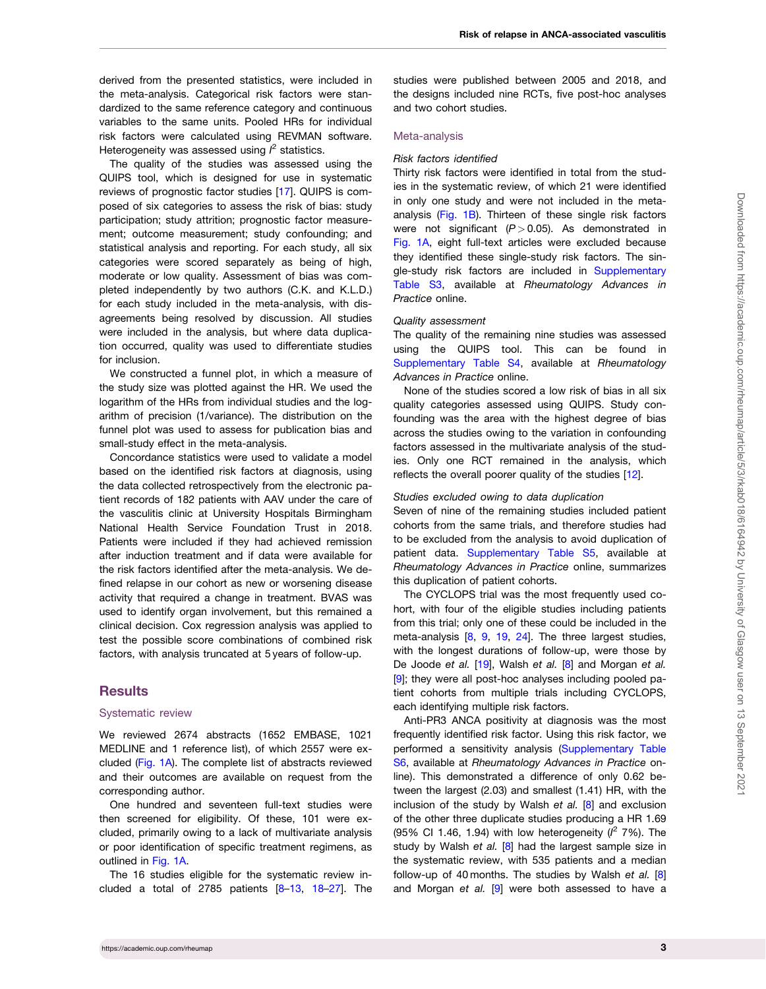<span id="page-2-0"></span>derived from the presented statistics, were included in the meta-analysis. Categorical risk factors were standardized to the same reference category and continuous variables to the same units. Pooled HRs for individual risk factors were calculated using REVMAN software. Heterogeneity was assessed using  $l^2$  statistics.

The quality of the studies was assessed using the QUIPS tool, which is designed for use in systematic reviews of prognostic factor studies [[17](#page-7-0)]. QUIPS is composed of six categories to assess the risk of bias: study participation; study attrition; prognostic factor measurement; outcome measurement; study confounding; and statistical analysis and reporting. For each study, all six categories were scored separately as being of high, moderate or low quality. Assessment of bias was completed independently by two authors (C.K. and K.L.D.) for each study included in the meta-analysis, with disagreements being resolved by discussion. All studies were included in the analysis, but where data duplication occurred, quality was used to differentiate studies for inclusion.

We constructed a funnel plot, in which a measure of the study size was plotted against the HR. We used the logarithm of the HRs from individual studies and the logarithm of precision (1/variance). The distribution on the funnel plot was used to assess for publication bias and small-study effect in the meta-analysis.

Concordance statistics were used to validate a model based on the identified risk factors at diagnosis, using the data collected retrospectively from the electronic patient records of 182 patients with AAV under the care of the vasculitis clinic at University Hospitals Birmingham National Health Service Foundation Trust in 2018. Patients were included if they had achieved remission after induction treatment and if data were available for the risk factors identified after the meta-analysis. We defined relapse in our cohort as new or worsening disease activity that required a change in treatment. BVAS was used to identify organ involvement, but this remained a clinical decision. Cox regression analysis was applied to test the possible score combinations of combined risk factors, with analysis truncated at 5 years of follow-up.

## **Results**

## Systematic review

We reviewed 2674 abstracts (1652 EMBASE, 1021 MEDLINE and 1 reference list), of which 2557 were excluded [\(Fig. 1A\)](#page-3-0). The complete list of abstracts reviewed and their outcomes are available on request from the corresponding author.

One hundred and seventeen full-text studies were then screened for eligibility. Of these, 101 were excluded, primarily owing to a lack of multivariate analysis or poor identification of specific treatment regimens, as outlined in [Fig. 1A.](#page-3-0)

The 16 studies eligible for the systematic review in-cluded a total of 27[8](#page-7-0)5 patients  $[8-13, 18-27]$  $[8-13, 18-27]$  $[8-13, 18-27]$  $[8-13, 18-27]$  $[8-13, 18-27]$ . The studies were published between 2005 and 2018, and the designs included nine RCTs, five post-hoc analyses and two cohort studies.

### Meta-analysis

#### Risk factors identified

Thirty risk factors were identified in total from the studies in the systematic review, of which 21 were identified in only one study and were not included in the metaanalysis ([Fig. 1B\)](#page-3-0). Thirteen of these single risk factors were not significant  $(P > 0.05)$ . As demonstrated in [Fig. 1A](#page-3-0), eight full-text articles were excluded because they identified these single-study risk factors. The single-study risk factors are included in [Supplementary](https://academic.oup.com/rheumap/article-lookup/doi/10.1093/rap/rkab018#supplementary-data) [Table S3](https://academic.oup.com/rheumap/article-lookup/doi/10.1093/rap/rkab018#supplementary-data), available at Rheumatology Advances in Practice online.

#### Quality assessment

The quality of the remaining nine studies was assessed using the QUIPS tool. This can be found in [Supplementary Table S4](https://academic.oup.com/rheumap/article-lookup/doi/10.1093/rap/rkab018#supplementary-data), available at Rheumatology Advances in Practice online.

None of the studies scored a low risk of bias in all six quality categories assessed using QUIPS. Study confounding was the area with the highest degree of bias across the studies owing to the variation in confounding factors assessed in the multivariate analysis of the studies. Only one RCT remained in the analysis, which reflects the overall poorer quality of the studies [[12](#page-7-0)].

#### Studies excluded owing to data duplication

Seven of nine of the remaining studies included patient cohorts from the same trials, and therefore studies had to be excluded from the analysis to avoid duplication of patient data. [Supplementary Table S5](https://academic.oup.com/rheumap/article-lookup/doi/10.1093/rap/rkab018#supplementary-data), available at Rheumatology Advances in Practice online, summarizes this duplication of patient cohorts.

The CYCLOPS trial was the most frequently used cohort, with four of the eligible studies including patients from this trial; only one of these could be included in the meta-analysis [[8,](#page-7-0) [9,](#page-7-0) [19](#page-7-0), [24](#page-8-0)]. The three largest studies, with the longest durations of follow-up, were those by De Joode et al. [[19](#page-7-0)], Walsh et al. [[8\]](#page-7-0) and Morgan et al. [[9\]](#page-7-0); they were all post-hoc analyses including pooled patient cohorts from multiple trials including CYCLOPS, each identifying multiple risk factors.

Anti-PR3 ANCA positivity at diagnosis was the most frequently identified risk factor. Using this risk factor, we performed a sensitivity analysis [\(Supplementary Table](https://academic.oup.com/rheumap/article-lookup/doi/10.1093/rap/rkab018#supplementary-data) [S6,](https://academic.oup.com/rheumap/article-lookup/doi/10.1093/rap/rkab018#supplementary-data) available at Rheumatology Advances in Practice online). This demonstrated a difference of only 0.62 between the largest (2.03) and smallest (1.41) HR, with the inclusion of the study by Walsh et al. [\[8](#page-7-0)] and exclusion of the other three duplicate studies producing a HR 1.69 (95% Cl 1.46, 1.94) with low heterogeneity ( $l^2$  7%). The study by Walsh et al.  $[8]$  $[8]$  had the largest sample size in the systematic review, with 535 patients and a median follow-up of 40 months. The studies by Walsh et al.  $[8]$  $[8]$ and Morgan et al.  $[9]$  $[9]$  were both assessed to have a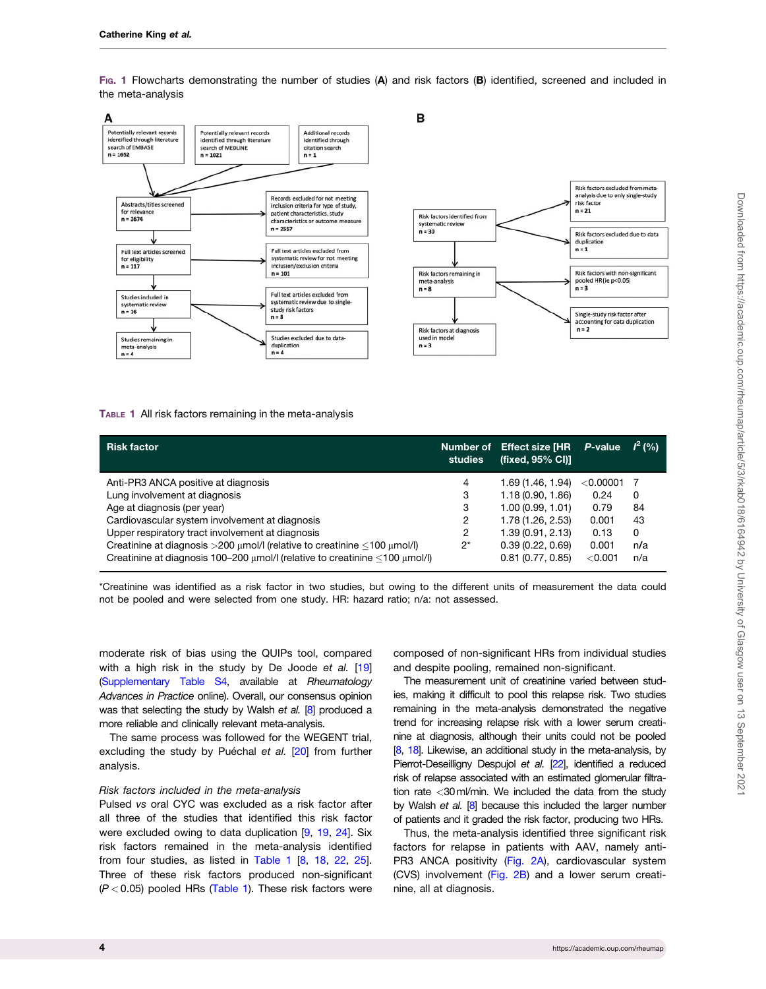<span id="page-3-0"></span>FIG. 1 Flowcharts demonstrating the number of studies (A) and risk factors (B) identified, screened and included in the meta-analysis



#### TABLE 1 All risk factors remaining in the meta-analysis

| <b>Risk factor</b>                                                                    | studies | Number of Effect size [HR<br>(fixed, 95% CI)] | P-value     | $I^2(%$ |
|---------------------------------------------------------------------------------------|---------|-----------------------------------------------|-------------|---------|
| Anti-PR3 ANCA positive at diagnosis                                                   | 4       | 1.69 (1.46, 1.94)                             | $<$ 0.00001 |         |
| Lung involvement at diagnosis                                                         | 3       | 1.18(0.90, 1.86)                              | 0.24        | 0       |
| Age at diagnosis (per year)                                                           | 3       | 1.00(0.99, 1.01)                              | 0.79        | 84      |
| Cardiovascular system involvement at diagnosis                                        | 2       | 1.78 (1.26, 2.53)                             | 0.001       | 43      |
| Upper respiratory tract involvement at diagnosis                                      | 2       | 1.39(0.91, 2.13)                              | 0.13        | 0       |
| Creatinine at diagnosis $>200$ µmol/l (relative to creatinine $<$ 100 µmol/l)         | $2^*$   | 0.39(0.22, 0.69)                              | 0.001       | n/a     |
| Creatinine at diagnosis 100-200 $\mu$ mol/I (relative to creatinine <100 $\mu$ mol/I) |         | 0.81(0.77, 0.85)                              | < 0.001     | n/a     |

\*Creatinine was identified as a risk factor in two studies, but owing to the different units of measurement the data could not be pooled and were selected from one study. HR: hazard ratio; n/a: not assessed.

moderate risk of bias using the QUIPs tool, compared with a high risk in the study by De Joode et al. [\[19](#page-7-0)] [\(Supplementary Table S4](https://academic.oup.com/rheumap/article-lookup/doi/10.1093/rap/rkab018#supplementary-data), available at Rheumatology Advances in Practice online). Overall, our consensus opinion was that selecting the study by Walsh et al. [[8](#page-7-0)] produced a more reliable and clinically relevant meta-analysis.

The same process was followed for the WEGENT trial, excluding the study by Puéchal et al.  $[20]$  $[20]$  from further analysis.

#### Risk factors included in the meta-analysis

Pulsed vs oral CYC was excluded as a risk factor after all three of the studies that identified this risk factor were excluded owing to data duplication [\[9](#page-7-0), [19,](#page-7-0) [24](#page-8-0)]. Six risk factors remained in the meta-analysis identified from four studies, as listed in Table 1 [[8,](#page-7-0) [18,](#page-7-0) [22,](#page-8-0) [25](#page-8-0)]. Three of these risk factors produced non-significant  $(P < 0.05)$  pooled HRs (Table 1). These risk factors were

composed of non-significant HRs from individual studies and despite pooling, remained non-significant.

The measurement unit of creatinine varied between studies, making it difficult to pool this relapse risk. Two studies remaining in the meta-analysis demonstrated the negative trend for increasing relapse risk with a lower serum creatinine at diagnosis, although their units could not be pooled [[8,](#page-7-0) [18\]](#page-7-0). Likewise, an additional study in the meta-analysis, by Pierrot-Deseilligny Despujol et al. [\[22\]](#page-8-0), identified a reduced risk of relapse associated with an estimated glomerular filtration rate <30ml/min. We included the data from the study by Walsh et al. [\[8\]](#page-7-0) because this included the larger number of patients and it graded the risk factor, producing two HRs.

Thus, the meta-analysis identified three significant risk factors for relapse in patients with AAV, namely anti-PR3 ANCA positivity [\(Fig. 2A\)](#page-4-0), cardiovascular system (CVS) involvement [\(Fig. 2B](#page-4-0)) and a lower serum creatinine, all at diagnosis.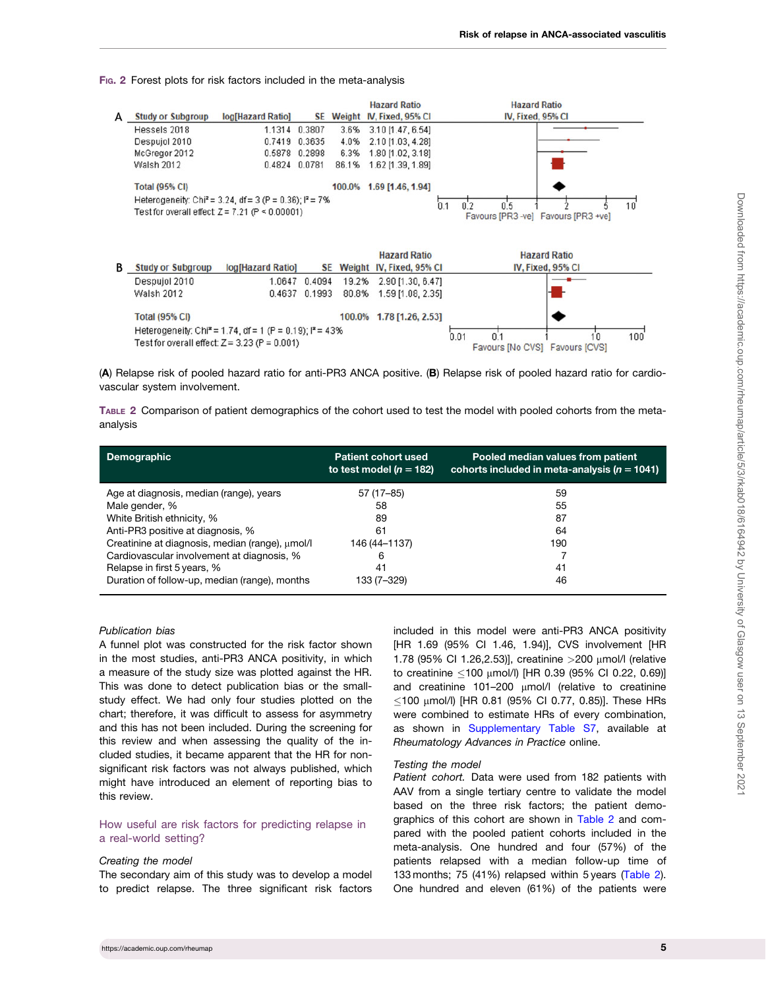<span id="page-4-0"></span>FIG. 2 Forest plots for risk factors included in the meta-analysis



(A) Relapse risk of pooled hazard ratio for anti-PR3 ANCA positive. (B) Relapse risk of pooled hazard ratio for cardiovascular system involvement.

TABLE 2 Comparison of patient demographics of the cohort used to test the model with pooled cohorts from the metaanalysis

| <b>Demographic</b>                              | <b>Patient cohort used</b><br>to test model ( $n = 182$ ) | Pooled median values from patient<br>cohorts included in meta-analysis ( $n = 1041$ ) |
|-------------------------------------------------|-----------------------------------------------------------|---------------------------------------------------------------------------------------|
| Age at diagnosis, median (range), years         | 57 (17-85)                                                | 59                                                                                    |
| Male gender, %                                  | 58                                                        | 55                                                                                    |
| White British ethnicity, %                      | 89                                                        | 87                                                                                    |
| Anti-PR3 positive at diagnosis, %               | 61                                                        | 64                                                                                    |
| Creatinine at diagnosis, median (range), umol/l | 146 (44–1137)                                             | 190                                                                                   |
| Cardiovascular involvement at diagnosis, %      | 6                                                         |                                                                                       |
| Relapse in first 5 years, %                     | 41                                                        | 41                                                                                    |
| Duration of follow-up, median (range), months   | 133 (7–329)                                               | 46                                                                                    |

#### Publication bias

A funnel plot was constructed for the risk factor shown in the most studies, anti-PR3 ANCA positivity, in which a measure of the study size was plotted against the HR. This was done to detect publication bias or the smallstudy effect. We had only four studies plotted on the chart; therefore, it was difficult to assess for asymmetry and this has not been included. During the screening for this review and when assessing the quality of the included studies, it became apparent that the HR for nonsignificant risk factors was not always published, which might have introduced an element of reporting bias to this review.

### How useful are risk factors for predicting relapse in a real-world setting?

#### Creating the model

The secondary aim of this study was to develop a model to predict relapse. The three significant risk factors

included in this model were anti-PR3 ANCA positivity [HR 1.69 (95% CI 1.46, 1.94)], CVS involvement [HR 1.78 (95% CI 1.26,2.53)], creatinine >200 mmol/l (relative to creatinine ≤100 μmol/l) [HR 0.39 (95% Cl 0.22, 0.69)] and creatinine 101-200  $\mu$ mol/l (relative to creatinine  $\leq$ 100 µmol/l) [HR 0.81 (95% CI 0.77, 0.85)]. These HRs were combined to estimate HRs of every combination, as shown in [Supplementary Table S7,](https://academic.oup.com/rheumap/article-lookup/doi/10.1093/rap/rkab018#supplementary-data) available at Rheumatology Advances in Practice online.

#### Testing the model

Patient cohort. Data were used from 182 patients with AAV from a single tertiary centre to validate the model based on the three risk factors; the patient demographics of this cohort are shown in Table 2 and compared with the pooled patient cohorts included in the meta-analysis. One hundred and four (57%) of the patients relapsed with a median follow-up time of 133 months; 75 (41%) relapsed within 5 years (Table 2). One hundred and eleven (61%) of the patients were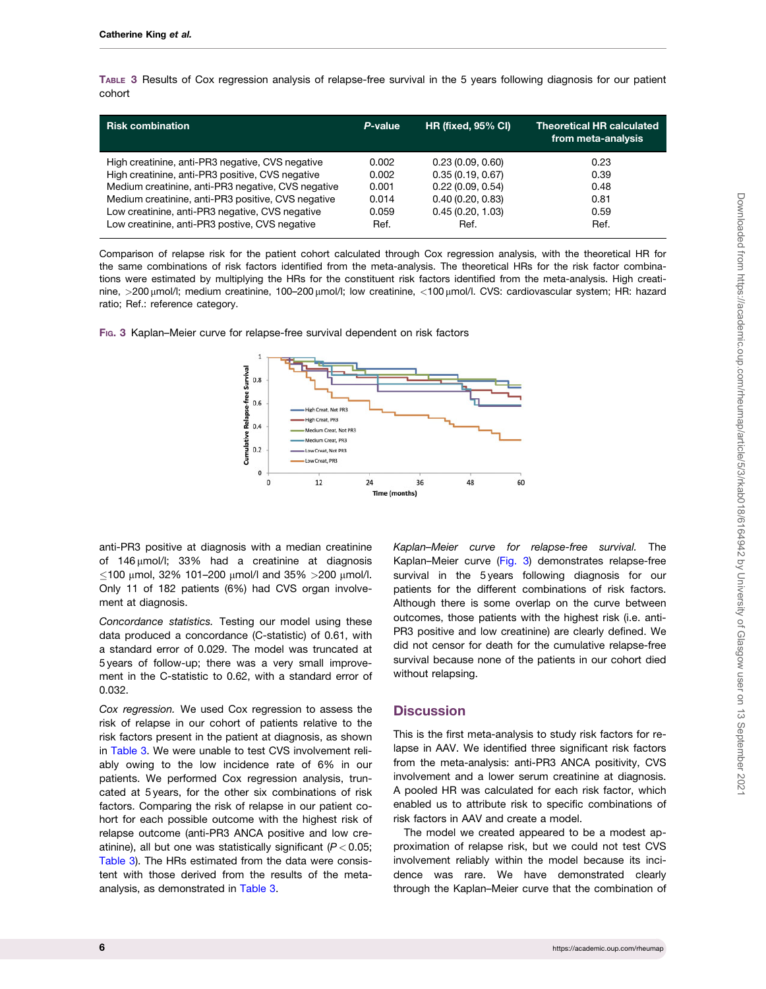TABLE 3 Results of Cox regression analysis of relapse-free survival in the 5 years following diagnosis for our patient cohort

| <b>Risk combination</b>                            | P-value | <b>HR (fixed, 95% CI)</b> | <b>Theoretical HR calculated</b><br>from meta-analysis |
|----------------------------------------------------|---------|---------------------------|--------------------------------------------------------|
| High creatinine, anti-PR3 negative, CVS negative   | 0.002   | 0.23(0.09, 0.60)          | 0.23                                                   |
| High creatinine, anti-PR3 positive, CVS negative   | 0.002   | 0.35(0.19, 0.67)          | 0.39                                                   |
| Medium creatinine, anti-PR3 negative, CVS negative | 0.001   | 0.22(0.09, 0.54)          | 0.48                                                   |
| Medium creatinine, anti-PR3 positive, CVS negative | 0.014   | 0.40(0.20, 0.83)          | 0.81                                                   |
| Low creatinine, anti-PR3 negative, CVS negative    | 0.059   | 0.45(0.20, 1.03)          | 0.59                                                   |
| Low creatinine, anti-PR3 postive, CVS negative     | Ref.    | Ref.                      | Ref.                                                   |

Comparison of relapse risk for the patient cohort calculated through Cox regression analysis, with the theoretical HR for the same combinations of risk factors identified from the meta-analysis. The theoretical HRs for the risk factor combinations were estimated by multiplying the HRs for the constituent risk factors identified from the meta-analysis. High creatinine, >200 µmol/l; medium creatinine, 100-200 µmol/l; low creatinine, <100 µmol/l. CVS: cardiovascular system; HR: hazard ratio; Ref.: reference category.



FIG. 3 Kaplan–Meier curve for relapse-free survival dependent on risk factors

anti-PR3 positive at diagnosis with a median creatinine of  $146 \mu$ mol/l; 33% had a creatinine at diagnosis  $\leq$ 100 μmol, 32% 101–200 μmol/l and 35% >200 μmol/l. Only 11 of 182 patients (6%) had CVS organ involvement at diagnosis.

Concordance statistics. Testing our model using these data produced a concordance (C-statistic) of 0.61, with a standard error of 0.029. The model was truncated at 5 years of follow-up; there was a very small improvement in the C-statistic to 0.62, with a standard error of 0.032.

Cox regression. We used Cox regression to assess the risk of relapse in our cohort of patients relative to the risk factors present in the patient at diagnosis, as shown in Table 3. We were unable to test CVS involvement reliably owing to the low incidence rate of 6% in our patients. We performed Cox regression analysis, truncated at 5 years, for the other six combinations of risk factors. Comparing the risk of relapse in our patient cohort for each possible outcome with the highest risk of relapse outcome (anti-PR3 ANCA positive and low creatinine), all but one was statistically significant  $(P < 0.05$ ; Table 3). The HRs estimated from the data were consistent with those derived from the results of the metaanalysis, as demonstrated in Table 3.

Kaplan–Meier curve for relapse-free survival. The Kaplan–Meier curve (Fig. 3) demonstrates relapse-free survival in the 5 years following diagnosis for our patients for the different combinations of risk factors. Although there is some overlap on the curve between outcomes, those patients with the highest risk (i.e. anti-PR3 positive and low creatinine) are clearly defined. We did not censor for death for the cumulative relapse-free survival because none of the patients in our cohort died without relapsing.

## **Discussion**

This is the first meta-analysis to study risk factors for relapse in AAV. We identified three significant risk factors from the meta-analysis: anti-PR3 ANCA positivity, CVS involvement and a lower serum creatinine at diagnosis. A pooled HR was calculated for each risk factor, which enabled us to attribute risk to specific combinations of risk factors in AAV and create a model.

The model we created appeared to be a modest approximation of relapse risk, but we could not test CVS involvement reliably within the model because its incidence was rare. We have demonstrated clearly through the Kaplan–Meier curve that the combination of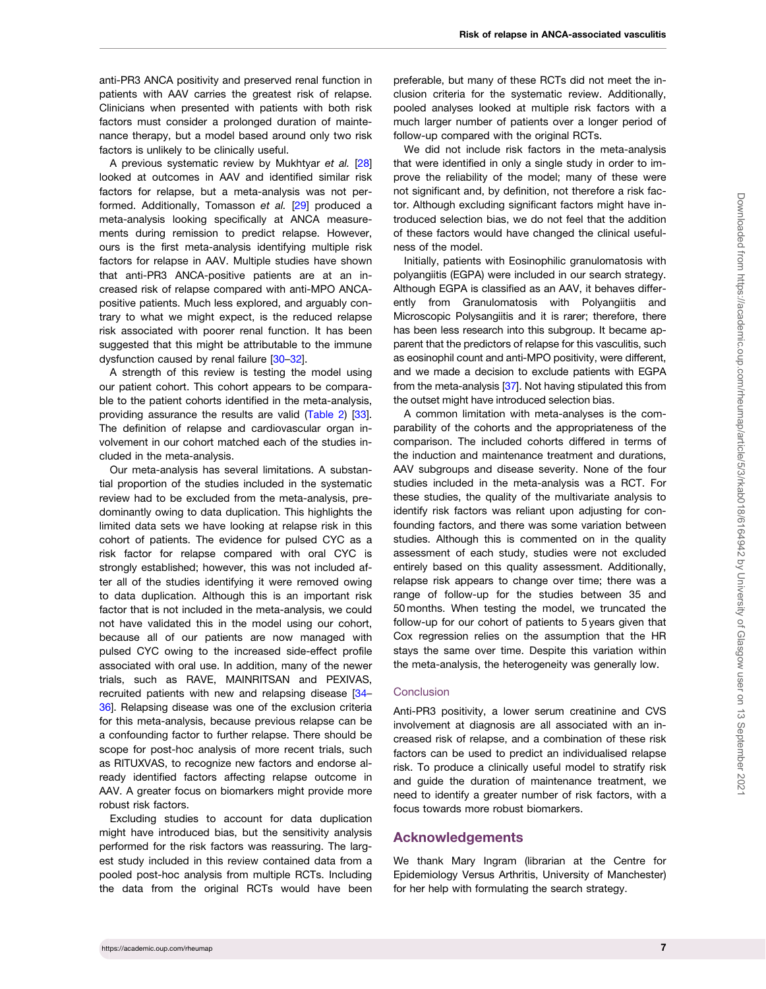<span id="page-6-0"></span>anti-PR3 ANCA positivity and preserved renal function in patients with AAV carries the greatest risk of relapse. Clinicians when presented with patients with both risk factors must consider a prolonged duration of maintenance therapy, but a model based around only two risk factors is unlikely to be clinically useful.

A previous systematic review by Mukhtyar et al. [\[28](#page-8-0)] looked at outcomes in AAV and identified similar risk factors for relapse, but a meta-analysis was not performed. Additionally, Tomasson et al. [[29](#page-8-0)] produced a meta-analysis looking specifically at ANCA measurements during remission to predict relapse. However, ours is the first meta-analysis identifying multiple risk factors for relapse in AAV. Multiple studies have shown that anti-PR3 ANCA-positive patients are at an increased risk of relapse compared with anti-MPO ANCApositive patients. Much less explored, and arguably contrary to what we might expect, is the reduced relapse risk associated with poorer renal function. It has been suggested that this might be attributable to the immune dysfunction caused by renal failure [\[30–32](#page-8-0)].

A strength of this review is testing the model using our patient cohort. This cohort appears to be comparable to the patient cohorts identified in the meta-analysis, providing assurance the results are valid ([Table 2](#page-4-0)) [[33](#page-8-0)]. The definition of relapse and cardiovascular organ involvement in our cohort matched each of the studies included in the meta-analysis.

Our meta-analysis has several limitations. A substantial proportion of the studies included in the systematic review had to be excluded from the meta-analysis, predominantly owing to data duplication. This highlights the limited data sets we have looking at relapse risk in this cohort of patients. The evidence for pulsed CYC as a risk factor for relapse compared with oral CYC is strongly established; however, this was not included after all of the studies identifying it were removed owing to data duplication. Although this is an important risk factor that is not included in the meta-analysis, we could not have validated this in the model using our cohort, because all of our patients are now managed with pulsed CYC owing to the increased side-effect profile associated with oral use. In addition, many of the newer trials, such as RAVE, MAINRITSAN and PEXIVAS, recruited patients with new and relapsing disease [[34](#page-8-0)– [36\]](#page-8-0). Relapsing disease was one of the exclusion criteria for this meta-analysis, because previous relapse can be a confounding factor to further relapse. There should be scope for post-hoc analysis of more recent trials, such as RITUXVAS, to recognize new factors and endorse already identified factors affecting relapse outcome in AAV. A greater focus on biomarkers might provide more robust risk factors.

Excluding studies to account for data duplication might have introduced bias, but the sensitivity analysis performed for the risk factors was reassuring. The largest study included in this review contained data from a pooled post-hoc analysis from multiple RCTs. Including the data from the original RCTs would have been

preferable, but many of these RCTs did not meet the inclusion criteria for the systematic review. Additionally, pooled analyses looked at multiple risk factors with a much larger number of patients over a longer period of follow-up compared with the original RCTs.

We did not include risk factors in the meta-analysis that were identified in only a single study in order to improve the reliability of the model; many of these were not significant and, by definition, not therefore a risk factor. Although excluding significant factors might have introduced selection bias, we do not feel that the addition of these factors would have changed the clinical usefulness of the model.

Initially, patients with Eosinophilic granulomatosis with polyangiitis (EGPA) were included in our search strategy. Although EGPA is classified as an AAV, it behaves differently from Granulomatosis with Polyangiitis and Microscopic Polysangiitis and it is rarer; therefore, there has been less research into this subgroup. It became apparent that the predictors of relapse for this vasculitis, such as eosinophil count and anti-MPO positivity, were different, and we made a decision to exclude patients with EGPA from the meta-analysis [[37\]](#page-8-0). Not having stipulated this from the outset might have introduced selection bias.

A common limitation with meta-analyses is the comparability of the cohorts and the appropriateness of the comparison. The included cohorts differed in terms of the induction and maintenance treatment and durations, AAV subgroups and disease severity. None of the four studies included in the meta-analysis was a RCT. For these studies, the quality of the multivariate analysis to identify risk factors was reliant upon adjusting for confounding factors, and there was some variation between studies. Although this is commented on in the quality assessment of each study, studies were not excluded entirely based on this quality assessment. Additionally, relapse risk appears to change over time; there was a range of follow-up for the studies between 35 and 50 months. When testing the model, we truncated the follow-up for our cohort of patients to 5 years given that Cox regression relies on the assumption that the HR stays the same over time. Despite this variation within the meta-analysis, the heterogeneity was generally low.

#### **Conclusion**

Anti-PR3 positivity, a lower serum creatinine and CVS involvement at diagnosis are all associated with an increased risk of relapse, and a combination of these risk factors can be used to predict an individualised relapse risk. To produce a clinically useful model to stratify risk and guide the duration of maintenance treatment, we need to identify a greater number of risk factors, with a focus towards more robust biomarkers.

## Acknowledgements

We thank Mary Ingram (librarian at the Centre for Epidemiology Versus Arthritis, University of Manchester) for her help with formulating the search strategy.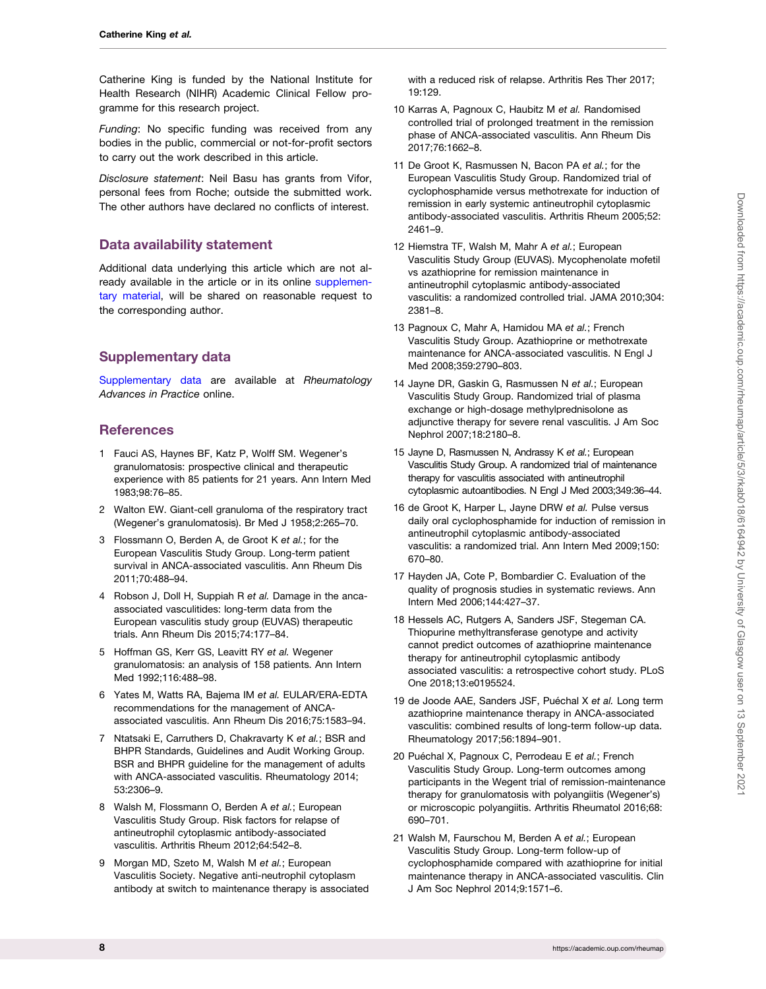<span id="page-7-0"></span>Catherine King is funded by the National Institute for Health Research (NIHR) Academic Clinical Fellow programme for this research project.

Funding: No specific funding was received from any bodies in the public, commercial or not-for-profit sectors to carry out the work described in this article.

Disclosure statement: Neil Basu has grants from Vifor, personal fees from Roche; outside the submitted work. The other authors have declared no conflicts of interest.

## Data availability statement

Additional data underlying this article which are not already available in the article or in its online [supplemen](https://academic.oup.com/rheumap/article-lookup/doi/10.1093/rap/rkab018#supplementary-data)[tary material](https://academic.oup.com/rheumap/article-lookup/doi/10.1093/rap/rkab018#supplementary-data), will be shared on reasonable request to the corresponding author.

# Supplementary data

[Supplementary data](https://academic.oup.com/rheumap/article-lookup/doi/10.1093/rap/rkab018#supplementary-data) are available at Rheumatology Advances in Practice online.

## **References**

- [1](#page-1-0) Fauci AS, Haynes BF, Katz P, Wolff SM. Wegener's granulomatosis: prospective clinical and therapeutic experience with 85 patients for 21 years. Ann Intern Med 1983;98:76–85.
- [2](#page-1-0) Walton EW. Giant-cell granuloma of the respiratory tract (Wegener's granulomatosis). Br Med J 1958;2:265–70.
- [3](#page-1-0) Flossmann O, Berden A, de Groot K et al.; for the European Vasculitis Study Group. Long-term patient survival in ANCA-associated vasculitis. Ann Rheum Dis 2011;70:488–94.
- [4](#page-1-0) Robson J, Doll H, Suppiah R et al. Damage in the ancaassociated vasculitides: long-term data from the European vasculitis study group (EUVAS) therapeutic trials. Ann Rheum Dis 2015;74:177–84.
- [5](#page-1-0) Hoffman GS, Kerr GS, Leavitt RY et al. Wegener granulomatosis: an analysis of 158 patients. Ann Intern Med 1992;116:488–98.
- [6](#page-1-0) Yates M, Watts RA, Bajema IM et al. EULAR/ERA-EDTA recommendations for the management of ANCAassociated vasculitis. Ann Rheum Dis 2016;75:1583–94.
- [7](#page-1-0) Ntatsaki E, Carruthers D, Chakravarty K et al.; BSR and BHPR Standards, Guidelines and Audit Working Group. BSR and BHPR guideline for the management of adults with ANCA-associated vasculitis. Rheumatology 2014; 53:2306–9.
- [8](#page-2-0) Walsh M, Flossmann O, Berden A et al.; European Vasculitis Study Group. Risk factors for relapse of antineutrophil cytoplasmic antibody-associated vasculitis. Arthritis Rheum 2012;64:542–8.
- [9](#page-2-0) Morgan MD, Szeto M, Walsh M et al.; European Vasculitis Society. Negative anti-neutrophil cytoplasm antibody at switch to maintenance therapy is associated

with a reduced risk of relapse. Arthritis Res Ther 2017; 19:129.

- 10 Karras A, Pagnoux C, Haubitz M et al. Randomised controlled trial of prolonged treatment in the remission phase of ANCA-associated vasculitis. Ann Rheum Dis 2017;76:1662–8.
- 11 De Groot K, Rasmussen N, Bacon PA et al.; for the European Vasculitis Study Group. Randomized trial of cyclophosphamide versus methotrexate for induction of remission in early systemic antineutrophil cytoplasmic antibody-associated vasculitis. Arthritis Rheum 2005;52: 2461–9.
- [12](#page-2-0) Hiemstra TF, Walsh M, Mahr A et al.; European Vasculitis Study Group (EUVAS). Mycophenolate mofetil vs azathioprine for remission maintenance in antineutrophil cytoplasmic antibody-associated vasculitis: a randomized controlled trial. JAMA 2010;304: 2381–8.
- 13 Pagnoux C, Mahr A, Hamidou MA et al.; French Vasculitis Study Group. Azathioprine or methotrexate maintenance for ANCA-associated vasculitis. N Engl J Med 2008;359:2790–803.
- 14 Jayne DR, Gaskin G, Rasmussen N et al.; European Vasculitis Study Group. Randomized trial of plasma exchange or high-dosage methylprednisolone as adjunctive therapy for severe renal vasculitis. J Am Soc Nephrol 2007;18:2180–8.
- 15 Jayne D, Rasmussen N, Andrassy K et al.; European Vasculitis Study Group. A randomized trial of maintenance therapy for vasculitis associated with antineutrophil cytoplasmic autoantibodies. N Engl J Med 2003;349:36–44.
- 16 de Groot K, Harper L, Jayne DRW et al. Pulse versus daily oral cyclophosphamide for induction of remission in antineutrophil cytoplasmic antibody-associated vasculitis: a randomized trial. Ann Intern Med 2009;150: 670–80.
- [17](#page-2-0) Hayden JA, Cote P, Bombardier C. Evaluation of the quality of prognosis studies in systematic reviews. Ann Intern Med 2006;144:427–37.
- [18](#page-3-0) Hessels AC, Rutgers A, Sanders JSF, Stegeman CA. Thiopurine methyltransferase genotype and activity cannot predict outcomes of azathioprine maintenance therapy for antineutrophil cytoplasmic antibody associated vasculitis: a retrospective cohort study. PLoS One 2018;13:e0195524.
- [19](#page-2-0) de Joode AAE, Sanders JSF, Puéchal X et al. Long term azathioprine maintenance therapy in ANCA-associated vasculitis: combined results of long-term follow-up data. Rheumatology 2017;56:1894–901.
- [20](#page-3-0) Puéchal X, Pagnoux C, Perrodeau E et al.; French Vasculitis Study Group. Long-term outcomes among participants in the Wegent trial of remission-maintenance therapy for granulomatosis with polyangiitis (Wegener's) or microscopic polyangiitis. Arthritis Rheumatol 2016;68: 690–701.
- 21 Walsh M, Faurschou M, Berden A et al.; European Vasculitis Study Group. Long-term follow-up of cyclophosphamide compared with azathioprine for initial maintenance therapy in ANCA-associated vasculitis. Clin J Am Soc Nephrol 2014;9:1571–6.